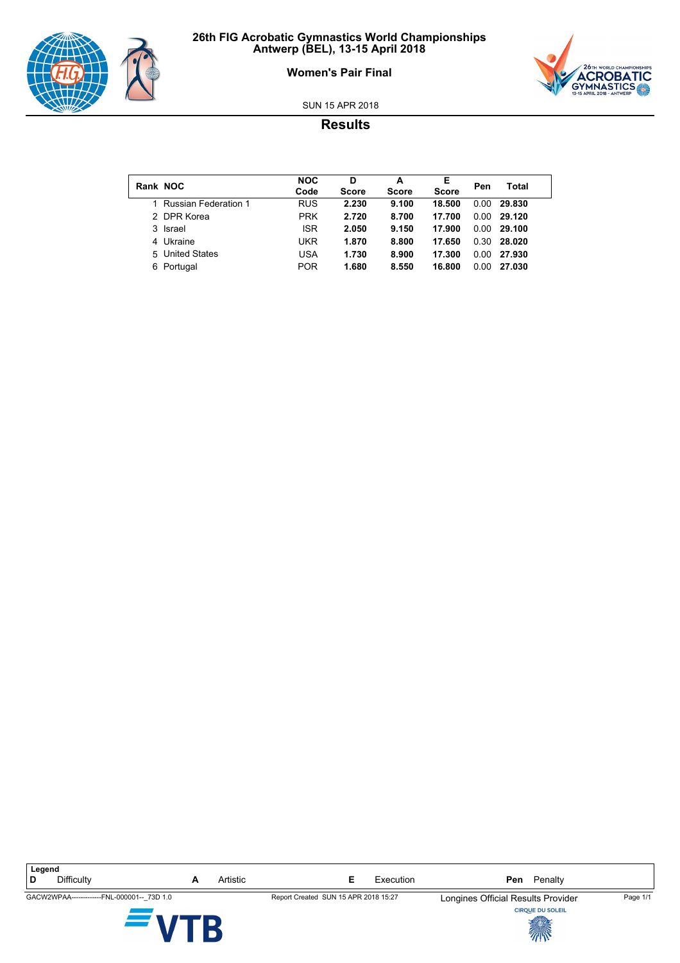





SUN 15 APR 2018

## **Results**

| Rank NOC                    | <b>NOC</b><br>Code | D<br><b>Score</b> | А<br><b>Score</b> | Е<br><b>Score</b> | Pen  | Total  |
|-----------------------------|--------------------|-------------------|-------------------|-------------------|------|--------|
| <b>Russian Federation 1</b> | <b>RUS</b>         | 2.230             | 9.100             | 18.500            | 0.00 | 29.830 |
| 2 DPR Korea                 | <b>PRK</b>         | 2.720             | 8.700             | 17.700            | 0.00 | 29.120 |
| 3 Israel                    | <b>ISR</b>         | 2.050             | 9.150             | 17.900            | 0.00 | 29.100 |
| 4 Ukraine                   | <b>UKR</b>         | 1.870             | 8.800             | 17.650            | 0.30 | 28.020 |
| 5 United States             | USA                | 1.730             | 8.900             | 17.300            | 0.00 | 27.930 |
| 6 Portugal                  | <b>POR</b>         | 1.680             | 8.550             | 16.800            | 0.00 | 27.030 |

**Legend D** Difficulty **A** Artistic **E** Execution **Pen** Penalty GACW2WPAA-------------FNL-000001--\_73D 1.0 Report Created SUN 15 APR 2018 15:27 Longines Official Results Provider Page 1/1 B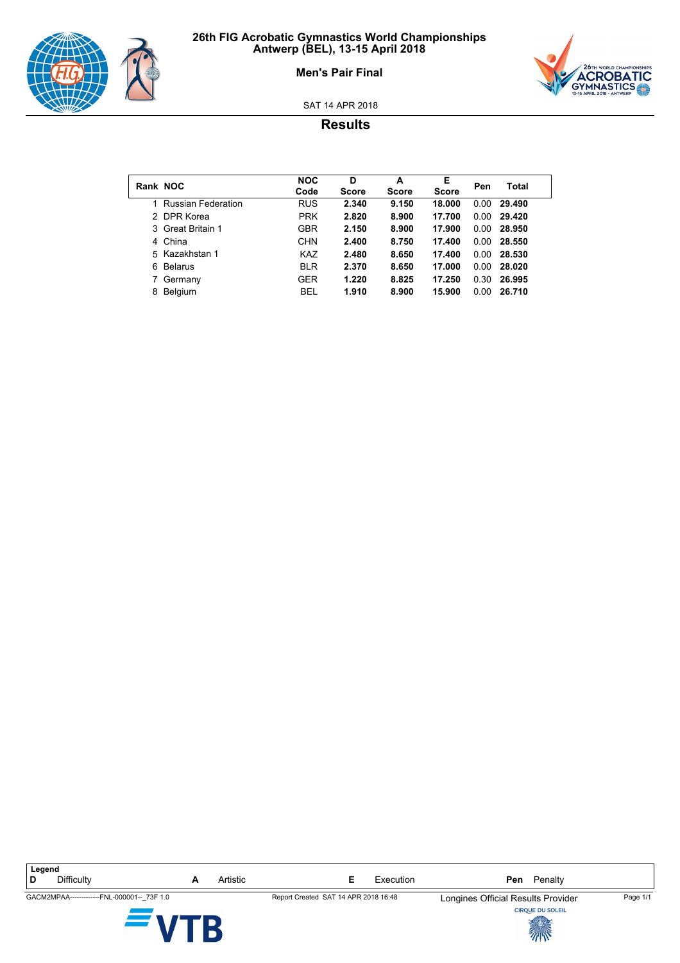



### **Men's Pair Final**

SAT 14 APR 2018

# **Results**

| Rank NOC |                           | <b>NOC</b><br>Code | D<br><b>Score</b> | A<br><b>Score</b> | E<br><b>Score</b> | Pen  | Total  |
|----------|---------------------------|--------------------|-------------------|-------------------|-------------------|------|--------|
|          | <b>Russian Federation</b> | <b>RUS</b>         | 2.340             | 9.150             | 18.000            | 0.00 | 29.490 |
|          | 2 DPR Korea               | <b>PRK</b>         | 2.820             | 8.900             | 17.700            | 0.00 | 29.420 |
|          | 3 Great Britain 1         | <b>GBR</b>         | 2.150             | 8.900             | 17.900            | 0.00 | 28.950 |
|          | 4 China                   | <b>CHN</b>         | 2.400             | 8.750             | 17.400            | 0.00 | 28.550 |
|          | 5 Kazakhstan 1            | <b>KAZ</b>         | 2.480             | 8.650             | 17.400            | 0.00 | 28.530 |
| 6.       | <b>Belarus</b>            | <b>BLR</b>         | 2.370             | 8.650             | 17.000            | 0.00 | 28.020 |
|          | Germany                   | <b>GER</b>         | 1.220             | 8.825             | 17.250            | 0.30 | 26.995 |
| 8        | Belgium                   | <b>BEL</b>         | 1.910             | 8.900             | 15.900            | 0.00 | 26.710 |

**Legend D** Difficulty **A** Artistic **E** Execution **Pen** Penalty GACM2MPAA------------FNL-000001--\_73F 1.0 Report Created SAT 14 APR 2018 16:48 Longines Official Results Provider Page 1/1 B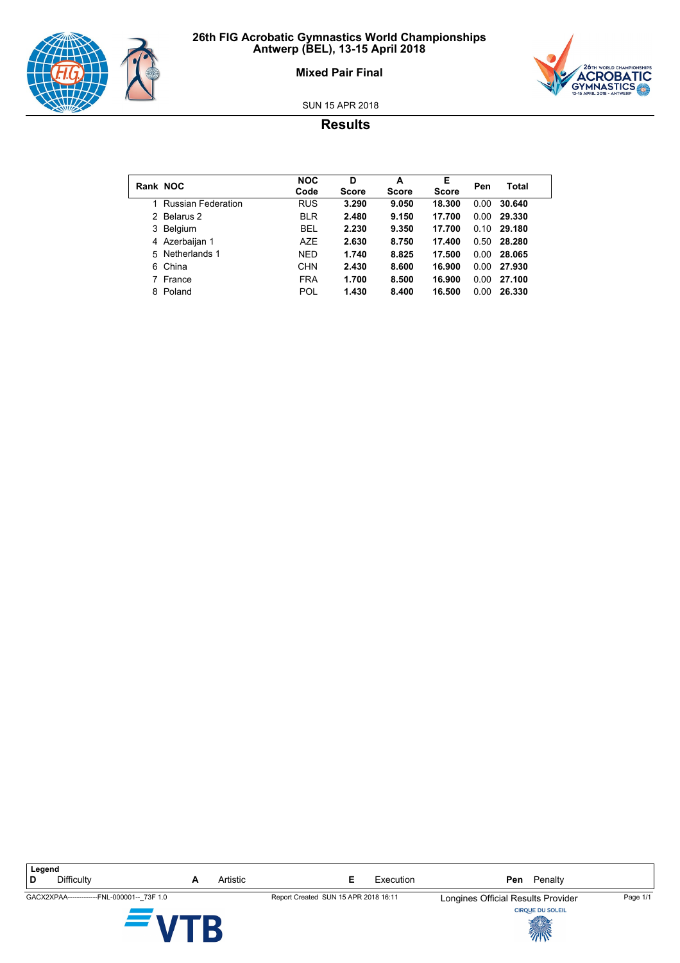



## **Mixed Pair Final**

SUN 15 APR 2018

# **Results**

|               | Rank NOC                  | <b>NOC</b><br>Code | D<br><b>Score</b> | A<br><b>Score</b> | Е<br><b>Score</b> | Pen  | Total  |
|---------------|---------------------------|--------------------|-------------------|-------------------|-------------------|------|--------|
|               | <b>Russian Federation</b> | <b>RUS</b>         | 3.290             | 9.050             | 18.300            | 0.00 | 30.640 |
| $\mathcal{P}$ | Belarus 2                 | <b>BLR</b>         | 2.480             | 9.150             | 17.700            | 0.00 | 29.330 |
| 3             | Belgium                   | <b>BEL</b>         | 2.230             | 9.350             | 17.700            | 0.10 | 29.180 |
|               | 4 Azerbaijan 1            | <b>AZE</b>         | 2.630             | 8.750             | 17.400            | 0.50 | 28.280 |
| 5             | Netherlands 1             | <b>NED</b>         | 1.740             | 8.825             | 17.500            | 0.00 | 28.065 |
|               | 6 China                   | <b>CHN</b>         | 2.430             | 8.600             | 16.900            | 0.00 | 27.930 |
|               | France                    | <b>FRA</b>         | 1.700             | 8.500             | 16.900            | 0.00 | 27.100 |
| 8             | Poland                    | POL                | 1.430             | 8.400             | 16.500            | 0.00 | 26.330 |

**Legend D** Difficulty **A** Artistic **E** Execution **Pen** Penalty GACX2XPAA-------------FNL-000001--\_73F 1.0 Report Created SUN 15 APR 2018 16:11 Longines Official Results Provider Page 1/1 B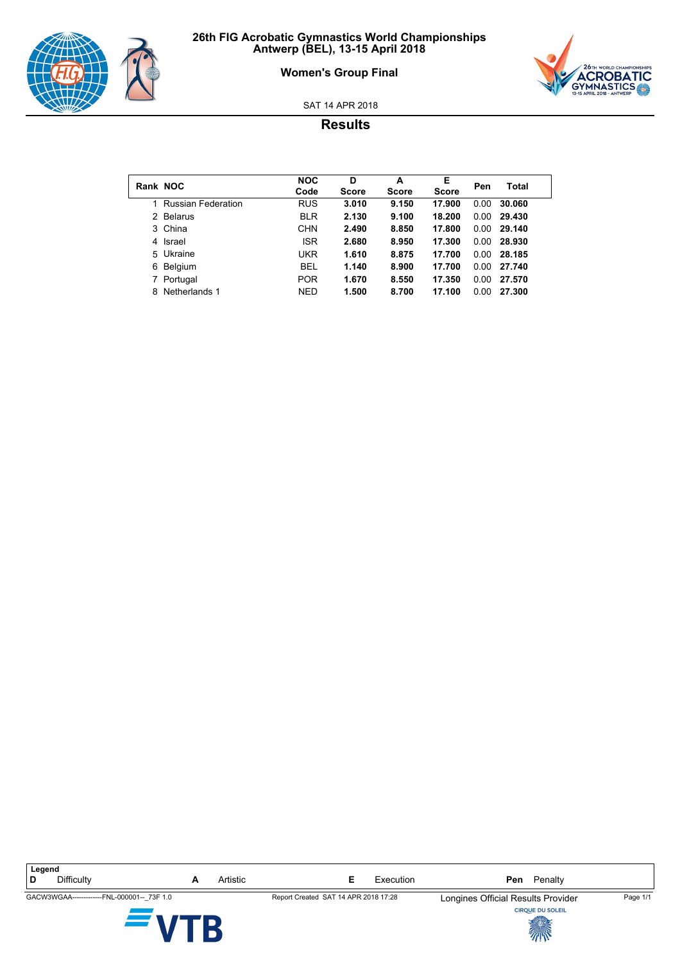

## **Women's Group Final**



SAT 14 APR 2018

## **Results**

| Rank NOC |                           | <b>NOC</b><br>Code | D<br><b>Score</b> | A<br><b>Score</b> | E<br><b>Score</b> | Pen  | Total  |
|----------|---------------------------|--------------------|-------------------|-------------------|-------------------|------|--------|
|          | <b>Russian Federation</b> | <b>RUS</b>         | 3.010             | 9.150             | 17.900            | 0.00 | 30.060 |
|          | 2 Belarus                 | <b>BLR</b>         | 2.130             | 9.100             | 18.200            | 0.00 | 29.430 |
|          | 3 China                   | CHN                | 2.490             | 8.850             | 17.800            | 0.00 | 29.140 |
|          | 4 Israel                  | <b>ISR</b>         | 2.680             | 8.950             | 17.300            | 0.00 | 28.930 |
|          | 5 Ukraine                 | <b>UKR</b>         | 1.610             | 8.875             | 17.700            | 0.00 | 28.185 |
| 6.       | Belgium                   | <b>BEL</b>         | 1.140             | 8.900             | 17.700            | 0.00 | 27.740 |
|          | Portugal                  | <b>POR</b>         | 1.670             | 8.550             | 17.350            | 0.00 | 27.570 |
| 8        | Netherlands 1             | <b>NED</b>         | 1.500             | 8.700             | 17.100            | 0.00 | 27.300 |